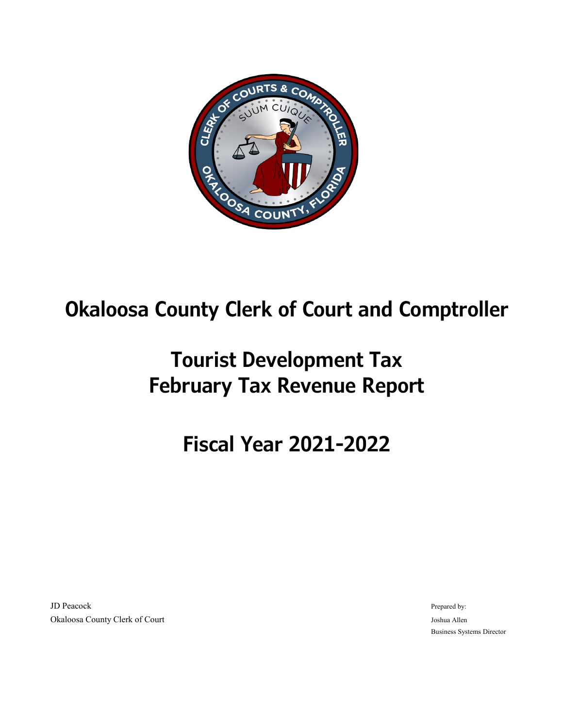

## **Okaloosa County Clerk of Court and Comptroller**

# **Tourist Development Tax February Tax Revenue Report**

# **Fiscal Year 2021-2022**

JD Peacock **Prepared by:** The part of the prepared by:  $\blacksquare$  Prepared by:  $\blacksquare$  Prepared by: Okaloosa County Clerk of Court Joshua Allen

Business Systems Director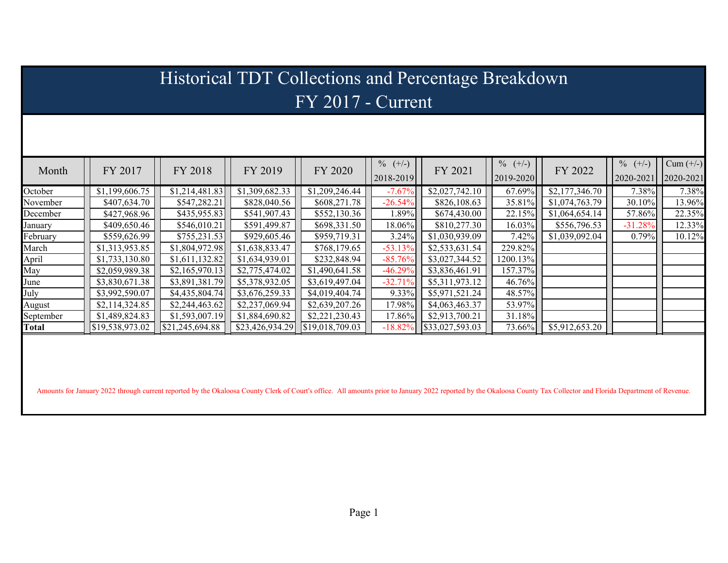| Historical TDT Collections and Percentage Breakdown |                 |                 |                 |                 |                         |                         |                         |                |                         |                          |  |  |  |
|-----------------------------------------------------|-----------------|-----------------|-----------------|-----------------|-------------------------|-------------------------|-------------------------|----------------|-------------------------|--------------------------|--|--|--|
| $FY$ 2017 - Current                                 |                 |                 |                 |                 |                         |                         |                         |                |                         |                          |  |  |  |
|                                                     |                 |                 |                 |                 |                         |                         |                         |                |                         |                          |  |  |  |
|                                                     |                 |                 |                 |                 |                         |                         |                         |                |                         |                          |  |  |  |
| Month                                               | FY 2017         | FY 2018         | FY 2019         | FY 2020         | $\%$ (+/-)<br>2018-2019 | FY 2021                 | $\%$ (+/-)<br>2019-2020 | FY 2022        | $\%$ (+/-)<br>2020-2021 | $Cum (+/-)$<br>2020-2021 |  |  |  |
| October                                             | \$1,199,606.75  | \$1,214,481.83  | \$1,309,682.33  | \$1,209,246.44  | $-7.67%$                | \$2,027,742.10          | 67.69%                  | \$2,177,346.70 | 7.38%                   | 7.38%                    |  |  |  |
| November                                            | \$407,634.70    | \$547,282.21    | \$828,040.56    | \$608,271.78    | $-26.54%$               | \$826,108.63            | 35.81%                  | \$1,074,763.79 | 30.10%                  | 13.96%                   |  |  |  |
| December                                            | \$427,968.96    | \$435,955.83    | \$541,907.43    | \$552,130.36    | 1.89%                   | \$674,430.00            | 22.15%                  | \$1,064,654.14 | 57.86%                  | 22.35%                   |  |  |  |
| January                                             | \$409,650.46    | \$546,010.21    | \$591,499.87    | \$698,331.50    | 18.06%                  | \$810,277.30            | 16.03%                  | \$556,796.53   | $-31.28%$               | 12.33%                   |  |  |  |
| February                                            | \$559,626.99    | \$755,231.53    | \$929,605.46    | \$959,719.31    | 3.24%                   | \$1,030,939.09          | 7.42%                   | \$1,039,092.04 | 0.79%                   | 10.12%                   |  |  |  |
| March                                               | \$1,313,953.85  | \$1,804,972.98  | \$1,638,833.47  | \$768,179.65    | $-53.13%$               | \$2,533,631.54          | 229.82%                 |                |                         |                          |  |  |  |
| April                                               | \$1,733,130.80  | \$1,611,132.82  | \$1,634,939.01  | \$232,848.94    | $-85.76%$               | \$3,027,344.52          | 1200.13%                |                |                         |                          |  |  |  |
| May                                                 | \$2,059,989.38  | \$2,165,970.13  | \$2,775,474.02  | \$1,490,641.58  | $-46.29%$               | \$3,836,461.91          | 157.37%                 |                |                         |                          |  |  |  |
| June                                                | \$3,830,671.38  | \$3,891,381.79  | \$5,378,932.05  | \$3,619,497.04  | $-32.71%$               | \$5,311,973.12          | 46.76%                  |                |                         |                          |  |  |  |
| July                                                | \$3,992,590.07  | \$4,435,804.74  | \$3,676,259.33  | \$4,019,404.74  | 9.33%                   | \$5,971,521.24          | 48.57%                  |                |                         |                          |  |  |  |
| August                                              | \$2,114,324.85  | \$2,244,463.62  | \$2,237,069.94  | \$2,639,207.26  | 17.98%                  | \$4,063,463.37          | 53.97%                  |                |                         |                          |  |  |  |
| September                                           | \$1,489,824.83  | \$1,593,007.19  | \$1,884,690.82  | \$2,221,230.43  | 17.86%                  | \$2,913,700.21          | 31.18%                  |                |                         |                          |  |  |  |
| Total                                               | \$19,538,973.02 | \$21,245,694.88 | \$23,426,934.29 | \$19,018,709.03 | $-18.82\%$              | $\sqrt{$}33,027,593.03$ | 73.66%                  | \$5,912,653.20 |                         |                          |  |  |  |
|                                                     |                 |                 |                 |                 |                         |                         |                         |                |                         |                          |  |  |  |

Amounts for January 2022 through current reported by the Okaloosa County Clerk of Court's office. All amounts prior to January 2022 reported by the Okaloosa County Tax Collector and Florida Department of Revenue.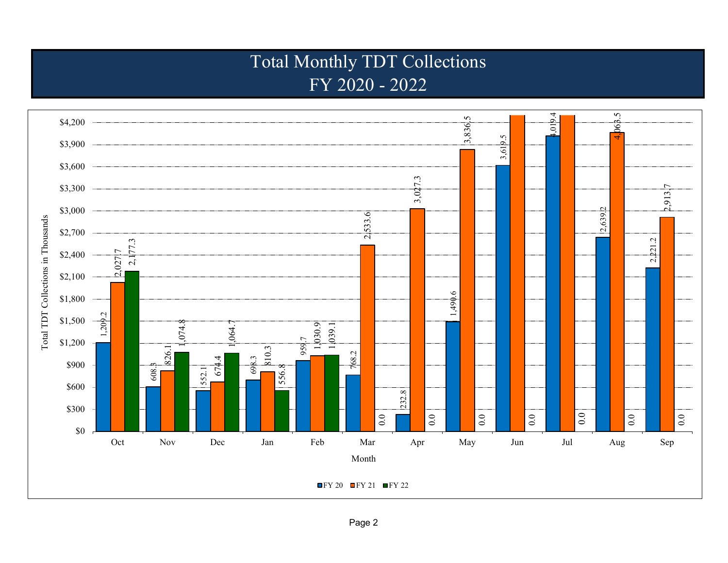### Total Monthly TDT Collections FY 2020 - 2022